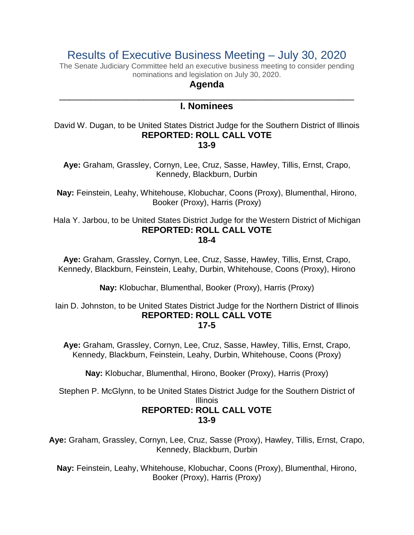# Results of Executive Business Meeting – July 30, 2020

The Senate Judiciary Committee held an executive business meeting to consider pending nominations and legislation on July 30, 2020.

## **Agenda**

## \_\_\_\_\_\_\_\_\_\_\_\_\_\_\_\_\_\_\_\_\_\_\_\_\_\_\_\_\_\_\_\_\_\_\_\_\_\_\_\_\_\_\_\_\_\_\_\_\_\_\_\_\_\_\_\_ **I. Nominees**

David W. Dugan, to be United States District Judge for the Southern District of Illinois **REPORTED: ROLL CALL VOTE 13-9**

**Aye:** Graham, Grassley, Cornyn, Lee, Cruz, Sasse, Hawley, Tillis, Ernst, Crapo, Kennedy, Blackburn, Durbin

**Nay:** Feinstein, Leahy, Whitehouse, Klobuchar, Coons (Proxy), Blumenthal, Hirono, Booker (Proxy), Harris (Proxy)

Hala Y. Jarbou, to be United States District Judge for the Western District of Michigan **REPORTED: ROLL CALL VOTE 18-4**

**Aye:** Graham, Grassley, Cornyn, Lee, Cruz, Sasse, Hawley, Tillis, Ernst, Crapo, Kennedy, Blackburn, Feinstein, Leahy, Durbin, Whitehouse, Coons (Proxy), Hirono

**Nay:** Klobuchar, Blumenthal, Booker (Proxy), Harris (Proxy)

Iain D. Johnston, to be United States District Judge for the Northern District of Illinois **REPORTED: ROLL CALL VOTE 17-5**

**Aye:** Graham, Grassley, Cornyn, Lee, Cruz, Sasse, Hawley, Tillis, Ernst, Crapo, Kennedy, Blackburn, Feinstein, Leahy, Durbin, Whitehouse, Coons (Proxy)

**Nay:** Klobuchar, Blumenthal, Hirono, Booker (Proxy), Harris (Proxy)

Stephen P. McGlynn, to be United States District Judge for the Southern District of Illinois

# **REPORTED: ROLL CALL VOTE 13-9**

**Aye:** Graham, Grassley, Cornyn, Lee, Cruz, Sasse (Proxy), Hawley, Tillis, Ernst, Crapo, Kennedy, Blackburn, Durbin

**Nay:** Feinstein, Leahy, Whitehouse, Klobuchar, Coons (Proxy), Blumenthal, Hirono, Booker (Proxy), Harris (Proxy)